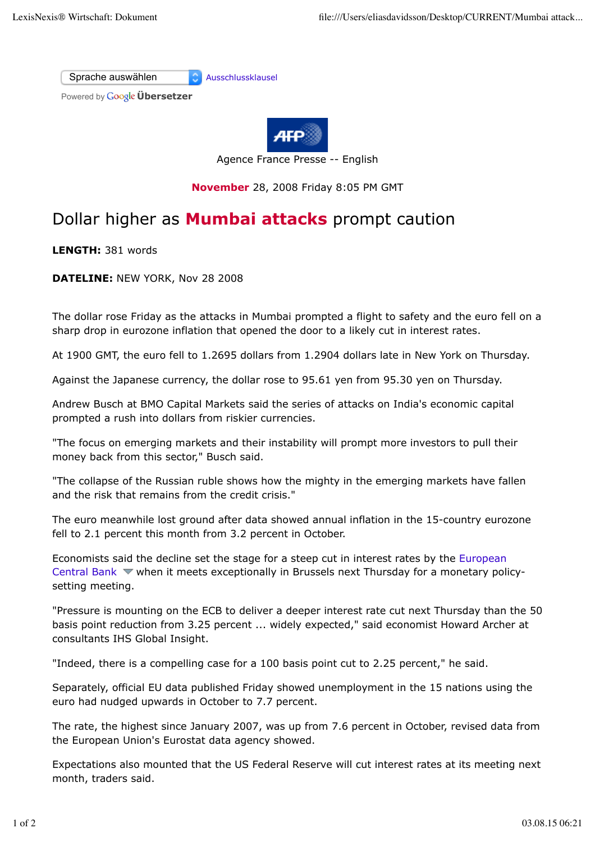Sprache auswählen Ausschlussklausel

Powered by **Google Übersetzer** 



Agence France Presse -- English

**November** 28, 2008 Friday 8:05 PM GMT

## Dollar higher as **Mumbai attacks** prompt caution

**LENGTH:** 381 words

**DATELINE:** NEW YORK, Nov 28 2008

The dollar rose Friday as the attacks in Mumbai prompted a flight to safety and the euro fell on a sharp drop in eurozone inflation that opened the door to a likely cut in interest rates.

At 1900 GMT, the euro fell to 1.2695 dollars from 1.2904 dollars late in New York on Thursday.

Against the Japanese currency, the dollar rose to 95.61 yen from 95.30 yen on Thursday.

Andrew Busch at BMO Capital Markets said the series of attacks on India's economic capital prompted a rush into dollars from riskier currencies.

"The focus on emerging markets and their instability will prompt more investors to pull their money back from this sector," Busch said.

"The collapse of the Russian ruble shows how the mighty in the emerging markets have fallen and the risk that remains from the credit crisis."

The euro meanwhile lost ground after data showed annual inflation in the 15-country eurozone fell to 2.1 percent this month from 3.2 percent in October.

Economists said the decline set the stage for a steep cut in interest rates by the European Central Bank  $\blacktriangledown$  when it meets exceptionally in Brussels next Thursday for a monetary policysetting meeting.

"Pressure is mounting on the ECB to deliver a deeper interest rate cut next Thursday than the 50 basis point reduction from 3.25 percent ... widely expected," said economist Howard Archer at consultants IHS Global Insight.

"Indeed, there is a compelling case for a 100 basis point cut to 2.25 percent," he said.

Separately, official EU data published Friday showed unemployment in the 15 nations using the euro had nudged upwards in October to 7.7 percent.

The rate, the highest since January 2007, was up from 7.6 percent in October, revised data from the European Union's Eurostat data agency showed.

Expectations also mounted that the US Federal Reserve will cut interest rates at its meeting next month, traders said.